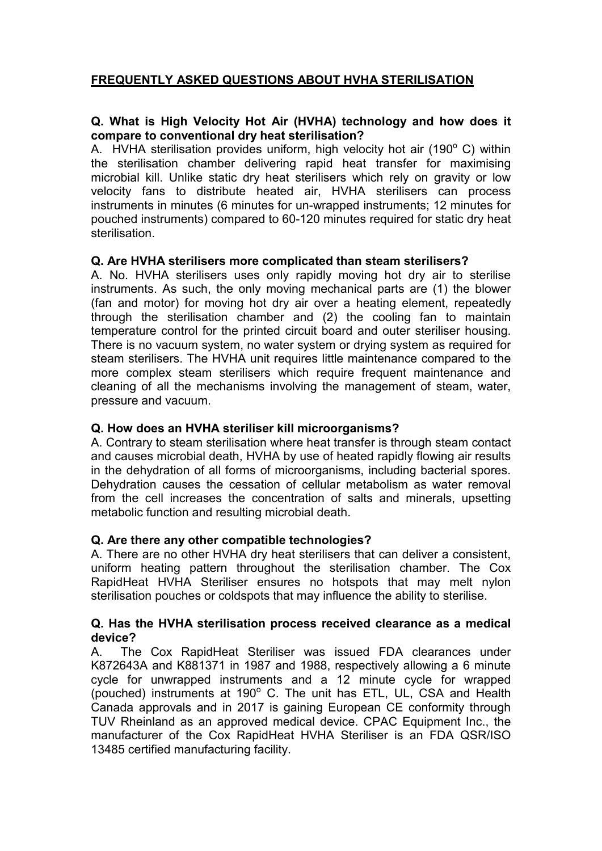# **FREQUENTLY ASKED QUESTIONS ABOUT HVHA STERILISATION**

# **Q. What is High Velocity Hot Air (HVHA) technology and how does it compare to conventional dry heat sterilisation?**

A. HVHA sterilisation provides uniform, high velocity hot air (190 $^{\circ}$  C) within the sterilisation chamber delivering rapid heat transfer for maximising microbial kill. Unlike static dry heat sterilisers which rely on gravity or low velocity fans to distribute heated air, HVHA sterilisers can process instruments in minutes (6 minutes for un-wrapped instruments; 12 minutes for pouched instruments) compared to 60-120 minutes required for static dry heat sterilisation.

# **Q. Are HVHA sterilisers more complicated than steam sterilisers?**

A. No. HVHA sterilisers uses only rapidly moving hot dry air to sterilise instruments. As such, the only moving mechanical parts are (1) the blower (fan and motor) for moving hot dry air over a heating element, repeatedly through the sterilisation chamber and (2) the cooling fan to maintain temperature control for the printed circuit board and outer steriliser housing. There is no vacuum system, no water system or drying system as required for steam sterilisers. The HVHA unit requires little maintenance compared to the more complex steam sterilisers which require frequent maintenance and cleaning of all the mechanisms involving the management of steam, water, pressure and vacuum.

# **Q. How does an HVHA steriliser kill microorganisms?**

A. Contrary to steam sterilisation where heat transfer is through steam contact and causes microbial death, HVHA by use of heated rapidly flowing air results in the dehydration of all forms of microorganisms, including bacterial spores. Dehydration causes the cessation of cellular metabolism as water removal from the cell increases the concentration of salts and minerals, upsetting metabolic function and resulting microbial death.

# **Q. Are there any other compatible technologies?**

A. There are no other HVHA dry heat sterilisers that can deliver a consistent, uniform heating pattern throughout the sterilisation chamber. The Cox RapidHeat HVHA Steriliser ensures no hotspots that may melt nylon sterilisation pouches or coldspots that may influence the ability to sterilise.

#### **Q. Has the HVHA sterilisation process received clearance as a medical device?**

A. The Cox RapidHeat Steriliser was issued FDA clearances under K872643A and K881371 in 1987 and 1988, respectively allowing a 6 minute cycle for unwrapped instruments and a 12 minute cycle for wrapped (pouched) instruments at 190° C. The unit has ETL, UL, CSA and Health Canada approvals and in 2017 is gaining European CE conformity through TUV Rheinland as an approved medical device. CPAC Equipment Inc., the manufacturer of the Cox RapidHeat HVHA Steriliser is an FDA QSR/ISO 13485 certified manufacturing facility.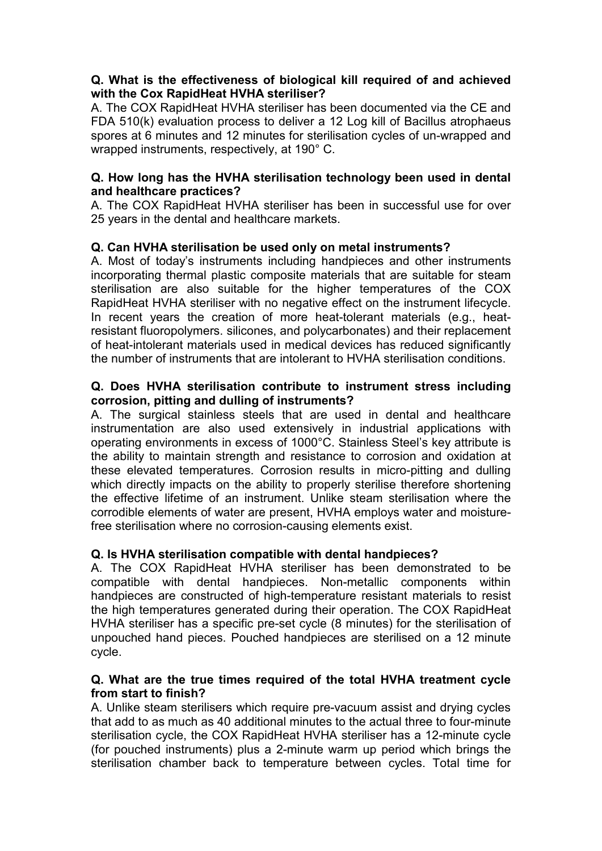# **Q. What is the effectiveness of biological kill required of and achieved with the Cox RapidHeat HVHA steriliser?**

A. The COX RapidHeat HVHA steriliser has been documented via the CE and FDA 510(k) evaluation process to deliver a 12 Log kill of Bacillus atrophaeus spores at 6 minutes and 12 minutes for sterilisation cycles of un-wrapped and wrapped instruments, respectively, at 190° C.

# **Q. How long has the HVHA sterilisation technology been used in dental and healthcare practices?**

A. The COX RapidHeat HVHA steriliser has been in successful use for over 25 years in the dental and healthcare markets.

# **Q. Can HVHA sterilisation be used only on metal instruments?**

A. Most of today's instruments including handpieces and other instruments incorporating thermal plastic composite materials that are suitable for steam sterilisation are also suitable for the higher temperatures of the COX RapidHeat HVHA steriliser with no negative effect on the instrument lifecycle. In recent years the creation of more heat-tolerant materials (e.g., heatresistant fluoropolymers. silicones, and polycarbonates) and their replacement of heat-intolerant materials used in medical devices has reduced significantly the number of instruments that are intolerant to HVHA sterilisation conditions.

### **Q. Does HVHA sterilisation contribute to instrument stress including corrosion, pitting and dulling of instruments?**

A. The surgical stainless steels that are used in dental and healthcare instrumentation are also used extensively in industrial applications with operating environments in excess of 1000°C. Stainless Steel's key attribute is the ability to maintain strength and resistance to corrosion and oxidation at these elevated temperatures. Corrosion results in micro-pitting and dulling which directly impacts on the ability to properly sterilise therefore shortening the effective lifetime of an instrument. Unlike steam sterilisation where the corrodible elements of water are present, HVHA employs water and moisturefree sterilisation where no corrosion-causing elements exist.

# **Q. Is HVHA sterilisation compatible with dental handpieces?**

A. The COX RapidHeat HVHA steriliser has been demonstrated to be compatible with dental handpieces. Non-metallic components within handpieces are constructed of high-temperature resistant materials to resist the high temperatures generated during their operation. The COX RapidHeat HVHA steriliser has a specific pre-set cycle (8 minutes) for the sterilisation of unpouched hand pieces. Pouched handpieces are sterilised on a 12 minute cycle.

# **Q. What are the true times required of the total HVHA treatment cycle from start to finish?**

A. Unlike steam sterilisers which require pre-vacuum assist and drying cycles that add to as much as 40 additional minutes to the actual three to four-minute sterilisation cycle, the COX RapidHeat HVHA steriliser has a 12-minute cycle (for pouched instruments) plus a 2-minute warm up period which brings the sterilisation chamber back to temperature between cycles. Total time for